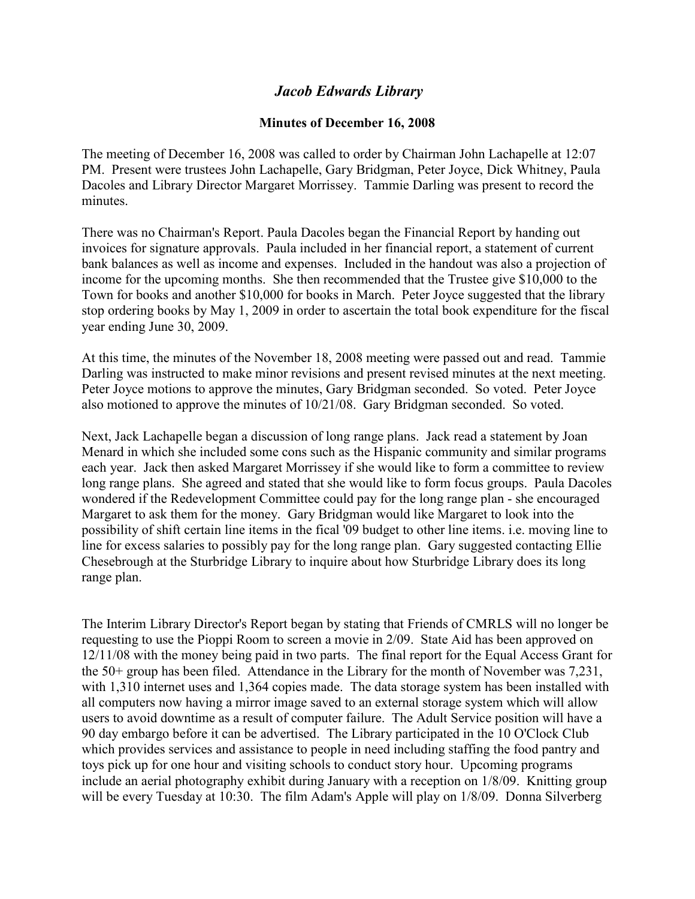## *Jacob Edwards Library*

## **Minutes of December 16, 2008**

The meeting of December 16, 2008 was called to order by Chairman John Lachapelle at 12:07 PM. Present were trustees John Lachapelle, Gary Bridgman, Peter Joyce, Dick Whitney, Paula Dacoles and Library Director Margaret Morrissey. Tammie Darling was present to record the minutes.

There was no Chairman's Report. Paula Dacoles began the Financial Report by handing out invoices for signature approvals. Paula included in her financial report, a statement of current bank balances as well as income and expenses. Included in the handout was also a projection of income for the upcoming months. She then recommended that the Trustee give \$10,000 to the Town for books and another \$10,000 for books in March. Peter Joyce suggested that the library stop ordering books by May 1, 2009 in order to ascertain the total book expenditure for the fiscal year ending June 30, 2009.

At this time, the minutes of the November 18, 2008 meeting were passed out and read. Tammie Darling was instructed to make minor revisions and present revised minutes at the next meeting. Peter Joyce motions to approve the minutes, Gary Bridgman seconded. So voted. Peter Joyce also motioned to approve the minutes of 10/21/08. Gary Bridgman seconded. So voted.

Next, Jack Lachapelle began a discussion of long range plans. Jack read a statement by Joan Menard in which she included some cons such as the Hispanic community and similar programs each year. Jack then asked Margaret Morrissey if she would like to form a committee to review long range plans. She agreed and stated that she would like to form focus groups. Paula Dacoles wondered if the Redevelopment Committee could pay for the long range plan - she encouraged Margaret to ask them for the money. Gary Bridgman would like Margaret to look into the possibility of shift certain line items in the fical '09 budget to other line items. i.e. moving line to line for excess salaries to possibly pay for the long range plan. Gary suggested contacting Ellie Chesebrough at the Sturbridge Library to inquire about how Sturbridge Library does its long range plan.

The Interim Library Director's Report began by stating that Friends of CMRLS will no longer be requesting to use the Pioppi Room to screen a movie in 2/09. State Aid has been approved on 12/11/08 with the money being paid in two parts. The final report for the Equal Access Grant for the 50+ group has been filed. Attendance in the Library for the month of November was 7,231, with 1.310 internet uses and 1,364 copies made. The data storage system has been installed with all computers now having a mirror image saved to an external storage system which will allow users to avoid downtime as a result of computer failure. The Adult Service position will have a 90 day embargo before it can be advertised. The Library participated in the 10 O'Clock Club which provides services and assistance to people in need including staffing the food pantry and toys pick up for one hour and visiting schools to conduct story hour. Upcoming programs include an aerial photography exhibit during January with a reception on 1/8/09. Knitting group will be every Tuesday at 10:30. The film Adam's Apple will play on 1/8/09. Donna Silverberg